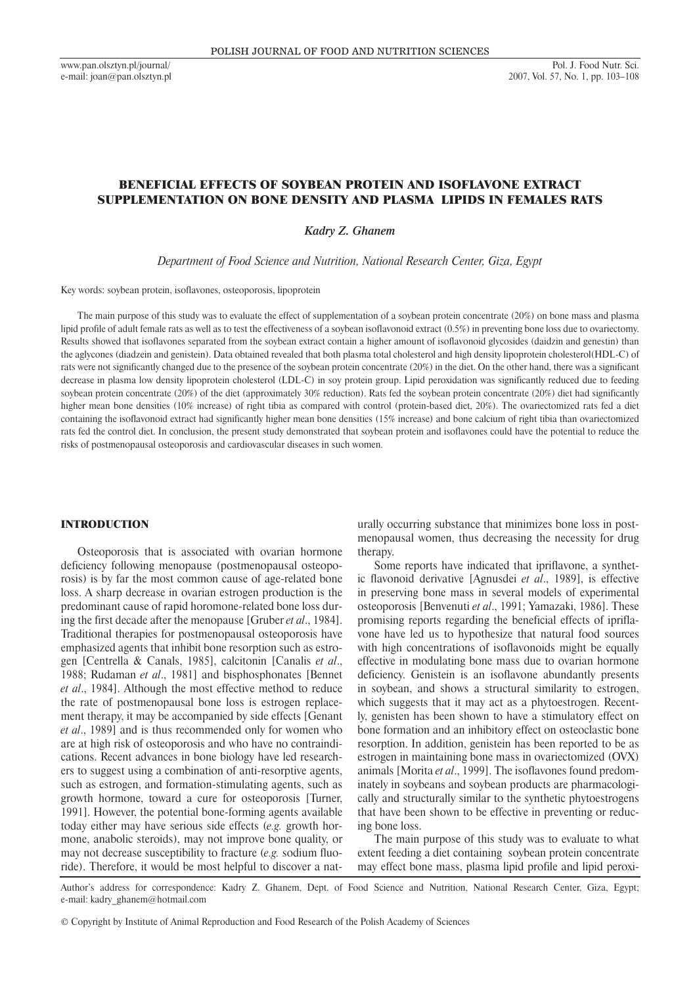www.pan.olsztyn.pl/journal/ e-mail: joan@pan.olsztyn.pl

# BENEFICIAL EFFECTS OF SOYBEAN PROTEIN AND ISOFLAVONE EXTRACT SUPPLEMENTATION ON BONE DENSITY AND PLASMA LIPIDS IN FEMALES RATS

*Kadry Z. Ghanem* 

*Department of Food Science and Nutrition, National Research Center, Giza, Egypt*

Key words: soybean protein, isoflavones, osteoporosis, lipoprotein

The main purpose of this study was to evaluate the effect of supplementation of a soybean protein concentrate (20%) on bone mass and plasma lipid profile of adult female rats as well as to test the effectiveness of a soybean isoflavonoid extract (0.5%) in preventing bone loss due to ovariectomy. Results showed that isoflavones separated from the soybean extract contain a higher amount of isoflavonoid glycosides (daidzin and genestin) than the aglycones (diadzein and genistein). Data obtained revealed that both plasma total cholesterol and high density lipoprotein cholesterol(HDL-C) of rats were not significantly changed due to the presence of the soybean protein concentrate (20%) in the diet. On the other hand, there was a significant decrease in plasma low density lipoprotein cholesterol (LDL-C) in soy protein group. Lipid peroxidation was significantly reduced due to feeding soybean protein concentrate (20%) of the diet (approximately 30% reduction). Rats fed the soybean protein concentrate (20%) diet had significantly higher mean bone densities (10% increase) of right tibia as compared with control (protein-based diet, 20%). The ovariectomized rats fed a diet containing the isoflavonoid extract had significantly higher mean bone densities (15% increase) and bone calcium of right tibia than ovariectomized rats fed the control diet. In conclusion, the present study demonstrated that soybean protein and isoflavones could have the potential to reduce the risks of postmenopausal osteoporosis and cardiovascular diseases in such women.

### INTRODUCTION

Osteoporosis that is associated with ovarian hormone deficiency following menopause (postmenopausal osteoporosis) is by far the most common cause of age-related bone loss. A sharp decrease in ovarian estrogen production is the predominant cause of rapid horomone-related bone loss during the first decade after the menopause [Gruber *et al*., 1984]. Traditional therapies for postmenopausal osteoporosis have emphasized agents that inhibit bone resorption such as estrogen [Centrella & Canals, 1985], calcitonin [Canalis *et al*., 1988; Rudaman *et al*., 1981] and bisphosphonates [Bennet *et al*., 1984]. Although the most effective method to reduce the rate of postmenopausal bone loss is estrogen replacement therapy, it may be accompanied by side effects [Genant *et al*., 1989] and is thus recommended only for women who are at high risk of osteoporosis and who have no contraindications. Recent advances in bone biology have led researchers to suggest using a combination of anti-resorptive agents, such as estrogen, and formation-stimulating agents, such as growth hormone, toward a cure for osteoporosis [Turner, 1991]. However, the potential bone-forming agents available today either may have serious side effects (*e.g.* growth hormone, anabolic steroids), may not improve bone quality, or may not decrease susceptibility to fracture (*e.g.* sodium fluoride). Therefore, it would be most helpful to discover a naturally occurring substance that minimizes bone loss in postmenopausal women, thus decreasing the necessity for drug therapy.

Some reports have indicated that ipriflavone, a synthetic flavonoid derivative [Agnusdei *et al*., 1989], is effective in preserving bone mass in several models of experimental osteoporosis [Benvenuti *et al*., 1991; Yamazaki, 1986]. These promising reports regarding the beneficial effects of ipriflavone have led us to hypothesize that natural food sources with high concentrations of isoflavonoids might be equally effective in modulating bone mass due to ovarian hormone deficiency. Genistein is an isoflavone abundantly presents in soybean, and shows a structural similarity to estrogen, which suggests that it may act as a phytoestrogen. Recently, genisten has been shown to have a stimulatory effect on bone formation and an inhibitory effect on osteoclastic bone resorption. In addition, genistein has been reported to be as estrogen in maintaining bone mass in ovariectomized (OVX) animals [Morita *et al*., 1999]. The isoflavones found predominately in soybeans and soybean products are pharmacologically and structurally similar to the synthetic phytoestrogens that have been shown to be effective in preventing or reducing bone loss.

The main purpose of this study was to evaluate to what extent feeding a diet containing soybean protein concentrate may effect bone mass, plasma lipid profile and lipid peroxi-

Author's address for correspondence: Kadry Z. Ghanem, Dept. of Food Science and Nutrition, National Research Center, Giza, Egypt; e-mail: kadry\_ghanem@hotmail.com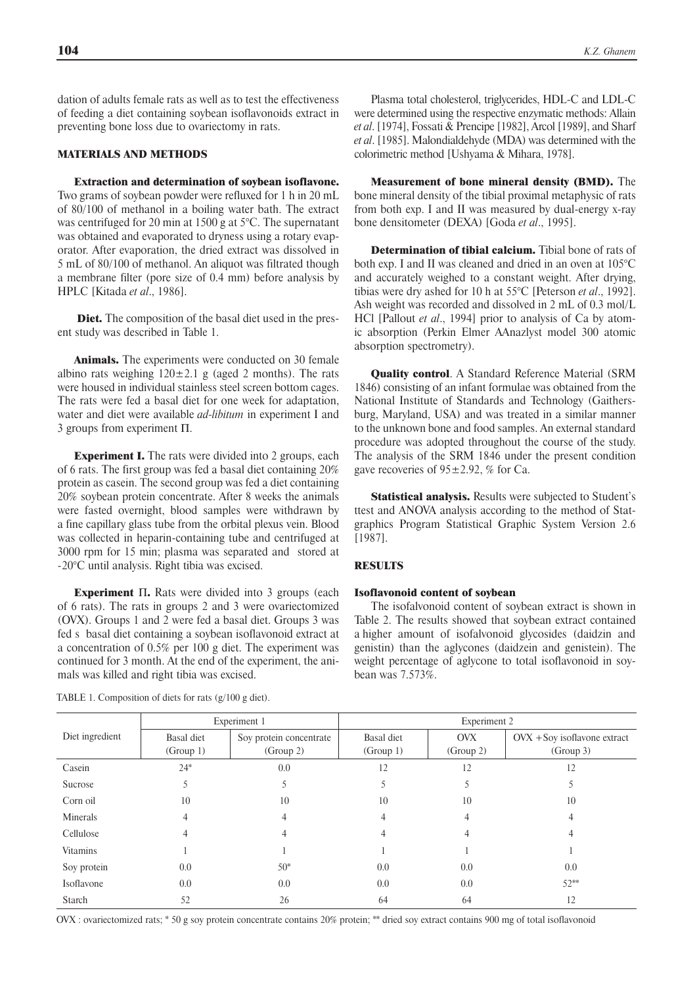dation of adults female rats as well as to test the effectiveness of feeding a diet containing soybean isoflavonoids extract in preventing bone loss due to ovariectomy in rats.

### MATERIALS AND METHODS

Extraction and determination of soybean isoflavone. Two grams of soybean powder were refluxed for 1 h in 20 mL of 80/100 of methanol in a boiling water bath. The extract was centrifuged for 20 min at 1500 g at 5°C. The supernatant was obtained and evaporated to dryness using a rotary evaporator. After evaporation, the dried extract was dissolved in 5 mL of 80/100 of methanol. An aliquot was filtrated though a membrane filter (pore size of 0.4 mm) before analysis by HPLC [Kitada *et al*., 1986].

Diet. The composition of the basal diet used in the present study was described in Table 1.

Animals. The experiments were conducted on 30 female albino rats weighing  $120 \pm 2.1$  g (aged 2 months). The rats were housed in individual stainless steel screen bottom cages. The rats were fed a basal diet for one week for adaptation, water and diet were available *ad-libitum* in experiment I and 3 groups from experiment  $\Pi$ .

**Experiment I.** The rats were divided into 2 groups, each of 6 rats. The first group was fed a basal diet containing 20% protein as casein. The second group was fed a diet containing 20% soybean protein concentrate. After 8 weeks the animals were fasted overnight, blood samples were withdrawn by a fine capillary glass tube from the orbital plexus vein. Blood was collected in heparin-containing tube and centrifuged at 3000 rpm for 15 min; plasma was separated and stored at - 20°C until analysis. Right tibia was excised.

**Experiment**  $\Pi$ . Rats were divided into 3 groups (each of 6 rats). The rats in groups 2 and 3 were ovariectomized (OVX). Groups 1 and 2 were fed a basal diet. Groups 3 was fed s basal diet containing a soybean isoflavonoid extract at a concentration of 0.5% per 100 g diet. The experiment was continued for 3 month. At the end of the experiment, the animals was killed and right tibia was excised.

Plasma total cholesterol, triglycerides, HDL-C and LDL-C were determined using the respective enzymatic methods: Allain *et al*. [1974], Fossati & Prencipe [1982], Arcol [1989], and Sharf *et al*. [1985]. Malondialdehyde (MDA) was determined with the colorimetric method [Ushyama & Mihara, 1978].

Measurement of bone mineral density (BMD). The bone mineral density of the tibial proximal metaphysic of rats from both exp. I and II was measured by dual-energy x-ray bone densitometer (DEXA) [Goda *et al*., 1995].

Determination of tibial calcium. Tibial bone of rats of both exp. I and II was cleaned and dried in an oven at 105°C and accurately weighed to a constant weight. After drying, tibias were dry ashed for 10 h at 55°C [Peterson *et al*., 1992]. Ash weight was recorded and dissolved in 2 mL of 0.3 mol/L HCl [Pallout *et al*., 1994] prior to analysis of Ca by atomic absorption (Perkin Elmer AAnazlyst model 300 atomic absorption spectrometry).

Quality control. A Standard Reference Material (SRM 1846) consisting of an infant formulae was obtained from the National Institute of Standards and Technology (Gaithersburg, Maryland, USA) and was treated in a similar manner to the unknown bone and food samples. An external standard procedure was adopted throughout the course of the study. The analysis of the SRM 1846 under the present condition gave recoveries of  $95\pm2.92$ , % for Ca.

Statistical analysis. Results were subjected to Student's ttest and ANOVA analysis according to the method of Statgraphics Program Statistical Graphic System Version 2.6 [1987].

### **RESULTS**

#### Isoflavonoid content of soybean

The isofalvonoid content of soybean extract is shown in Table 2. The results showed that soybean extract contained a higher amount of isofalvonoid glycosides (daidzin and genistin) than the aglycones (daidzein and genistein). The weight percentage of aglycone to total isoflavonoid in soybean was 7.573%.

| Diet ingredient | Experiment 1            |                                      | Experiment 2            |                         |                                             |  |
|-----------------|-------------------------|--------------------------------------|-------------------------|-------------------------|---------------------------------------------|--|
|                 | Basal diet<br>(Group 1) | Soy protein concentrate<br>(Group 2) | Basal diet<br>(Group 1) | <b>OVX</b><br>(Group 2) | $OVX + Sov$ isoflavone extract<br>(Group 3) |  |
| Casein          | $24*$                   | 0.0                                  | 12                      | 12                      | 12                                          |  |
| Sucrose         | 5                       |                                      |                         |                         | Ć                                           |  |
| Corn oil        | 10                      | 10                                   | 10                      | 10                      | 10                                          |  |
| Minerals        | 4                       | 4                                    |                         |                         | 4                                           |  |
| Cellulose       | 4                       | 4                                    | 4                       | 4                       | 4                                           |  |
| Vitamins        |                         |                                      |                         |                         |                                             |  |
| Soy protein     | 0.0                     | $50*$                                | 0.0                     | 0.0                     | 0.0                                         |  |
| Isoflavone      | 0.0                     | 0.0                                  | 0.0                     | 0.0                     | $52**$                                      |  |
| Starch          | 52                      | 26                                   | 64                      | 64                      | 12                                          |  |

TABLE 1. Composition of diets for rats (g/100 g diet).

OVX : ovariectomized rats; \* 50 g soy protein concentrate contains 20% protein; \*\* dried soy extract contains 900 mg of total isoflavonoid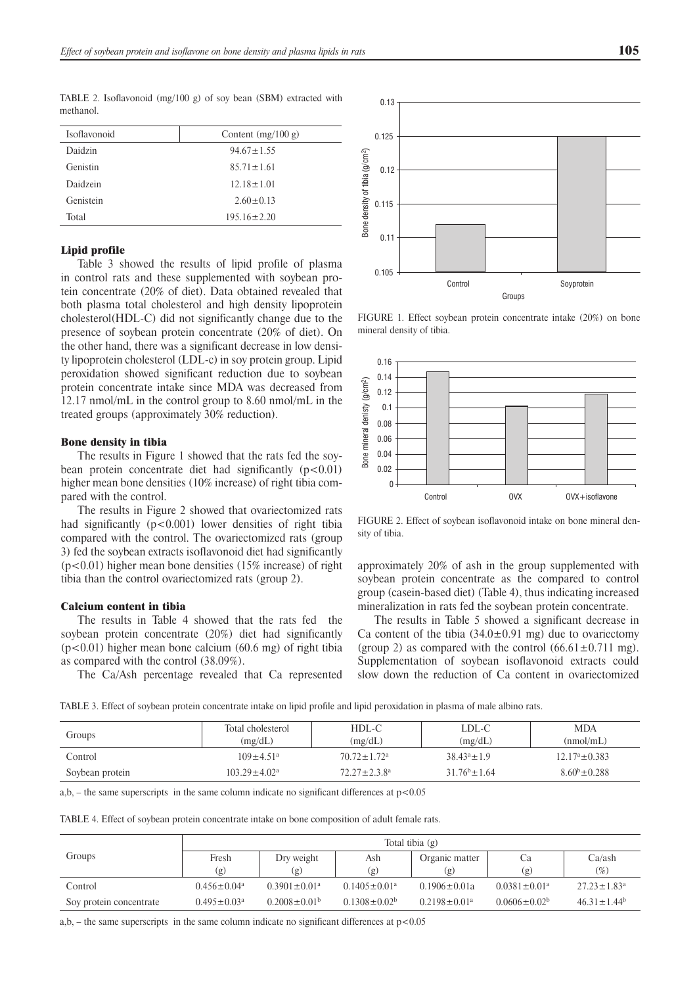| Isoflavonoid | Content $(mg/100 g)$ |
|--------------|----------------------|
| Daidzin      | $94.67 \pm 1.55$     |
| Genistin     | $85.71 \pm 1.61$     |
| Daidzein     | $12.18 \pm 1.01$     |
| Genistein    | $2.60 \pm 0.13$      |
| Total        | $195.16 \pm 2.20$    |

TABLE 2. Isoflavonoid (mg/100 g) of soy bean (SBM) extracted with methanol.

# Lipid profile

Table 3 showed the results of lipid profile of plasma in control rats and these supplemented with soybean protein concentrate (20% of diet). Data obtained revealed that both plasma total cholesterol and high density lipoprotein cholesterol(HDL-C) did not significantly change due to the presence of soybean protein concentrate (20% of diet). On the other hand, there was a significant decrease in low density lipoprotein cholesterol (LDL-c) in soy protein group. Lipid peroxidation showed significant reduction due to soybean protein concentrate intake since MDA was decreased from 12.17 nmol/mL in the control group to 8.60 nmol/mL in the treated groups (approximately 30% reduction).

#### Bone density in tibia

The results in Figure 1 showed that the rats fed the soybean protein concentrate diet had significantly  $(p<0.01)$ higher mean bone densities (10% increase) of right tibia compared with the control.

The results in Figure 2 showed that ovariectomized rats had significantly  $(p<0.001)$  lower densities of right tibia compared with the control. The ovariectomized rats (group 3) fed the soybean extracts isoflavonoid diet had significantly  $(p<0.01)$  higher mean bone densities (15% increase) of right tibia than the control ovariectomized rats (group 2).

#### Calcium content in tibia

The results in Table 4 showed that the rats fed the soybean protein concentrate (20%) diet had significantly  $(p<0.01)$  higher mean bone calcium  $(60.6 \text{ mg})$  of right tibia as compared with the control (38.09%).

The Ca/Ash percentage revealed that Ca represented



FIGURE 1. Effect soybean protein concentrate intake (20%) on bone mineral density of tibia.



FIGURE 2. Effect of soybean isoflavonoid intake on bone mineral density of tibia.

approximately 20% of ash in the group supplemented with soybean protein concentrate as the compared to control group (casein-based diet) (Table 4), thus indicating increased mineralization in rats fed the soybean protein concentrate.

The results in Table 5 showed a significant decrease in Ca content of the tibia  $(34.0 \pm 0.91 \text{ mg})$  due to ovariectomy (group 2) as compared with the control  $(66.61 \pm 0.711 \text{ mg})$ . Supplementation of soybean isoflavonoid extracts could slow down the reduction of Ca content in ovariectomized

TABLE 3. Effect of soybean protein concentrate intake on lipid profile and lipid peroxidation in plasma of male albino rats.

| Groups          | Total cholesterol<br>(mg/dL) | HDL-C<br>(mg/dL)            | LDL-C<br>(mg/dL)   | <b>MDA</b><br>(mmol/mL)   |
|-----------------|------------------------------|-----------------------------|--------------------|---------------------------|
| Control         | $109 \pm 4.51$ <sup>a</sup>  | $70.72 \pm 1.72^{\text{a}}$ | $38.43^a \pm 1.9$  | $12.17^{\circ} \pm 0.383$ |
| Soybean protein | $103.29 \pm 4.02^{\circ}$    | $72.27 \pm 2.3.8^a$         | $31.76^b \pm 1.64$ | $8.60^{b} \pm 0.288$      |

a,b, – the same superscripts in the same column indicate no significant differences at  $p < 0.05$ 

TABLE 4. Effect of soybean protein concentrate intake on bone composition of adult female rats.

|                         | Total tibia (g)               |                                |                     |                                |                     |                               |
|-------------------------|-------------------------------|--------------------------------|---------------------|--------------------------------|---------------------|-------------------------------|
| Groups                  | Fresh                         | Dry weight                     | Ash                 | Organic matter                 | Ca                  | Ca/ash                        |
|                         | (g)                           | (g)                            | (g)                 | (g)                            | (g)                 | $(\%)$                        |
| Control                 | $0.456 \pm 0.04$ <sup>a</sup> | $0.3901 \pm 0.01$ <sup>a</sup> | $0.1405 \pm 0.01a$  | $0.1906 \pm 0.01a$             | $0.0381 \pm 0.01a$  | $27.23 \pm 1.83$ <sup>a</sup> |
| Soy protein concentrate | $0.495 \pm 0.03$ <sup>a</sup> | $0.2008 \pm 0.01^b$            | $0.1308 \pm 0.02^b$ | $0.2198 \pm 0.01$ <sup>a</sup> | $0.0606 \pm 0.02^b$ | $46.31 \pm 1.44^b$            |

a,b, – the same superscripts in the same column indicate no significant differences at  $p < 0.05$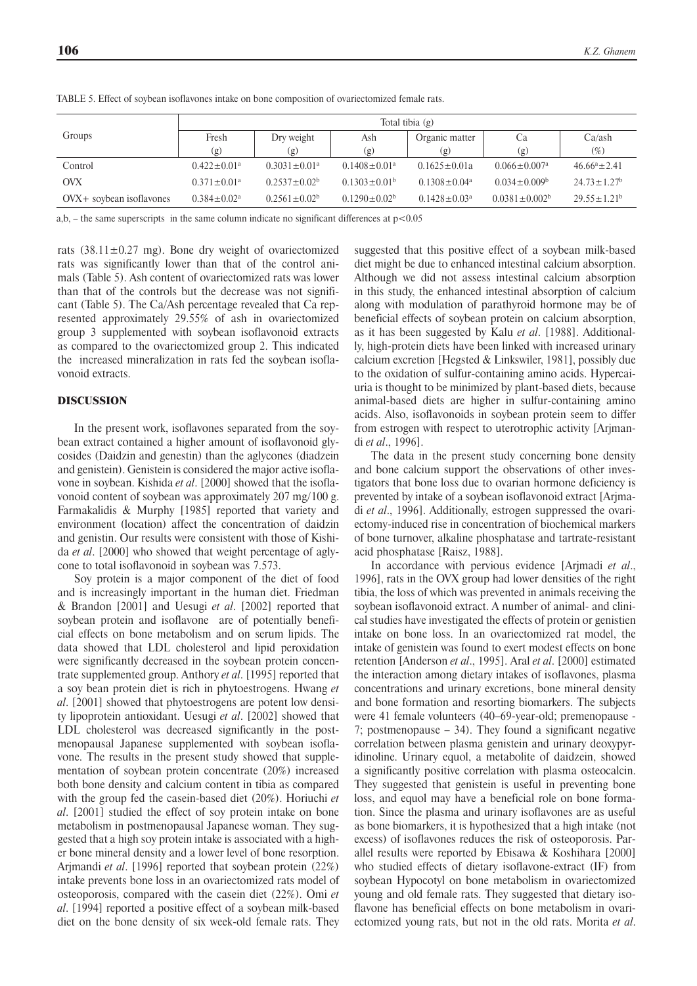|                            | Total tibia (g)               |                                |                                |                     |                                |                               |
|----------------------------|-------------------------------|--------------------------------|--------------------------------|---------------------|--------------------------------|-------------------------------|
| Groups                     | Fresh                         | Dry weight                     | Ash                            | Organic matter      | Ca                             | Ca/ash                        |
|                            | (g)                           | $\left( \text{g} \right)$      | (g)                            | (g)                 | (g)                            | $(\%)$                        |
| Control                    | $0.422 \pm 0.01$ <sup>a</sup> | $0.3031 \pm 0.01$ <sup>a</sup> | $0.1408 \pm 0.01$ <sup>a</sup> | $0.1625 \pm 0.01a$  | $0.066 \pm 0.007$ <sup>a</sup> | $46.66^a \pm 2.41$            |
| <b>OVX</b>                 | $0.371 \pm 0.01$ <sup>a</sup> | $0.2537 \pm 0.02^b$            | $0.1303 \pm 0.01^b$            | $0.1308 \pm 0.04^a$ | $0.034 \pm 0.009$ <sup>b</sup> | $24.73 \pm 1.27$ <sup>b</sup> |
| $OXX+$ sovbean isoflavones | $0.384 \pm 0.02^a$            | $0.2561 \pm 0.02^b$            | $0.1290 \pm 0.02^b$            | $0.1428 \pm 0.03^a$ | $0.0381 \pm 0.002^b$           | $29.55 \pm 1.21^b$            |

TABLE 5. Effect of soybean isoflavones intake on bone composition of ovariectomized female rats.

a,b, – the same superscripts in the same column indicate no significant differences at  $p < 0.05$ 

rats  $(38.11 \pm 0.27 \text{ mg})$ . Bone dry weight of ovariectomized rats was significantly lower than that of the control animals (Table 5). Ash content of ovariectomized rats was lower than that of the controls but the decrease was not significant (Table 5). The Ca/Ash percentage revealed that Ca represented approximately 29.55% of ash in ovariectomized group 3 supplemented with soybean isoflavonoid extracts as compared to the ovariectomized group 2. This indicated the increased mineralization in rats fed the soybean isoflavonoid extracts.

#### DISCUSSION

In the present work, isoflavones separated from the soybean extract contained a higher amount of isoflavonoid glycosides (Daidzin and genestin) than the aglycones (diadzein and genistein). Genistein is considered the major active isoflavone in soybean. Kishida *et al*. [2000] showed that the isoflavonoid content of soybean was approximately 207 mg/ 100 g. Farmakalidis & Murphy [1985] reported that variety and environment (location) affect the concentration of daidzin and genistin. Our results were consistent with those of Kishida *et al*. [2000] who showed that weight percentage of aglycone to total isoflavonoid in soybean was 7.573.

Soy protein is a major component of the diet of food and is increasingly important in the human diet. Friedman & Brandon [2001] and Uesugi *et al*. [2002] reported that soybean protein and isoflavone are of potentially beneficial effects on bone metabolism and on serum lipids. The data showed that LDL cholesterol and lipid peroxidation were significantly decreased in the soybean protein concentrate supplemented group. Anthory *et al*. [1995] reported that a soy bean protein diet is rich in phytoestrogens. Hwang *et al*. [2001] showed that phytoestrogens are potent low density lipoprotein antioxidant. Uesugi *et al*. [2002] showed that LDL cholesterol was decreased significantly in the postmenopausal Japanese supplemented with soybean isoflavone. The results in the present study showed that supplementation of soybean protein concentrate (20%) increased both bone density and calcium content in tibia as compared with the group fed the casein-based diet (20%). Horiuchi *et al*. [2001] studied the effect of soy protein intake on bone metabolism in postmenopausal Japanese woman. They suggested that a high soy protein intake is associated with a higher bone mineral density and a lower level of bone resorption. Arjmandi *et al*. [1996] reported that soybean protein (22%) intake prevents bone loss in an ovariectomized rats model of osteoporosis, compared with the casein diet (22%). Omi *et al*. [1994] reported a positive effect of a soybean milk-based diet on the bone density of six week-old female rats. They

suggested that this positive effect of a soybean milk-based diet might be due to enhanced intestinal calcium absorption. Although we did not assess intestinal calcium absorption in this study, the enhanced intestinal absorption of calcium along with modulation of parathyroid hormone may be of beneficial effects of soybean protein on calcium absorption, as it has been suggested by Kalu *et al*. [1988]. Additionally, high-protein diets have been linked with increased urinary calcium excretion [Hegsted & Linkswiler, 1981], possibly due to the oxidation of sulfur-containing amino acids. Hypercaiuria is thought to be minimized by plant-based diets, because animal-based diets are higher in sulfur-containing amino acids. Also, isoflavonoids in soybean protein seem to differ from estrogen with respect to uterotrophic activity [Arjmandi *et al*., 1996].

The data in the present study concerning bone density and bone calcium support the observations of other investigators that bone loss due to ovarian hormone deficiency is prevented by intake of a soybean isoflavonoid extract [Arjmadi *et al*., 1996]. Additionally, estrogen suppressed the ovariectomy-induced rise in concentration of biochemical markers of bone turnover, alkaline phosphatase and tartrate-resistant acid phosphatase [Raisz, 1988].

In accordance with pervious evidence [Arjmadi *et al*., 1996], rats in the OVX group had lower densities of the right tibia, the loss of which was prevented in animals receiving the soybean isoflavonoid extract. A number of animal- and clinical studies have investigated the effects of protein or genistien intake on bone loss. In an ovariectomized rat model, the intake of genistein was found to exert modest effects on bone retention [Anderson *et al*., 1995]. Aral *et al*. [2000] estimated the interaction among dietary intakes of isoflavones, plasma concentrations and urinary excretions, bone mineral density and bone formation and resorting biomarkers. The subjects were 41 female volunteers (40–69-year-old; premenopause - 7; postmenopause – 34). They found a significant negative correlation between plasma genistein and urinary deoxypyridinoline. Urinary equol, a metabolite of daidzein, showed a significantly positive correlation with plasma osteocalcin. They suggested that genistein is useful in preventing bone loss, and equol may have a beneficial role on bone formation. Since the plasma and urinary isoflavones are as useful as bone biomarkers, it is hypothesized that a high intake (not excess) of isoflavones reduces the risk of osteoporosis. Parallel results were reported by Ebisawa & Koshihara [2000] who studied effects of dietary isoflavone-extract (IF) from soybean Hypocotyl on bone metabolism in ovariectomized young and old female rats. They suggested that dietary isoflavone has beneficial effects on bone metabolism in ovariectomized young rats, but not in the old rats. Morita *et al*.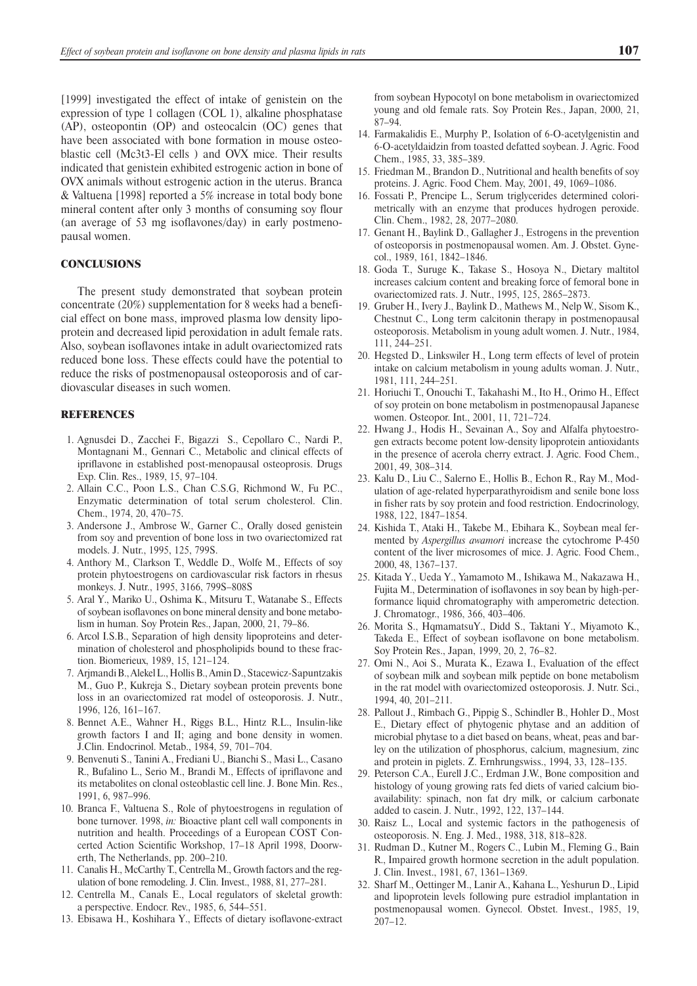[1999] investigated the effect of intake of genistein on the expression of type 1 collagen (COL 1), alkaline phosphatase (AP), osteopontin (OP) and osteocalcin (OC) genes that have been associated with bone formation in mouse osteoblastic cell (Mc3t3-El cells ) and OVX mice. Their results indicated that genistein exhibited estrogenic action in bone of OVX animals without estrogenic action in the uterus. Branca & Valtuena [1998] reported a 5% increase in total body bone mineral content after only 3 months of consuming soy flour (an average of 53 mg isoflavones/day) in early postmenopausal women.

# **CONCLUSIONS**

The present study demonstrated that soybean protein concentrate (20%) supplementation for 8 weeks had a beneficial effect on bone mass, improved plasma low density lipoprotein and decreased lipid peroxidation in adult female rats. Also, soybean isoflavones intake in adult ovariectomized rats reduced bone loss. These effects could have the potential to reduce the risks of postmenopausal osteoporosis and of cardiovascular diseases in such women.

### REFERENCES

- 1. Agnusdei D., Zacchei F., Bigazzi S., Cepollaro C., Nardi P., Montagnani M., Gennari C., Metabolic and clinical effects of ipriflavone in established post-menopausal osteoprosis. Drugs Exp. Clin. Res., 1989, 15, 97–104.
- 2. Allain C.C., Poon L.S., Chan C.S.G, Richmond W., Fu P.C., Enzymatic determination of total serum cholesterol. Clin. Chem., 1974, 20, 470–75.
- 3. Andersone J., Ambrose W., Garner C., Orally dosed genistein from soy and prevention of bone loss in two ovariectomized rat models. J. Nutr., 1995, 125, 799S.
- 4. Anthory M., Clarkson T., Weddle D., Wolfe M., Effects of soy protein phytoestrogens on cardiovascular risk factors in rhesus monkeys. J. Nutr., 1995, 3166, 799S–808S
- 5. Aral Y., Mariko U., Oshima K., Mitsuru T., Watanabe S., Effects of soybean isoflavones on bone mineral density and bone metabolism in human. Soy Protein Res., Japan, 2000, 21, 79–86.
- 6. Arcol I.S.B., Separation of high density lipoproteins and determination of cholesterol and phospholipids bound to these fraction. Biomerieux, 1989, 15, 121–124.
- 7. Arjmandi B., Alekel L., Hollis B., Amin D., Stacewicz-Sapuntzakis M., Guo P., Kukreja S., Dietary soybean protein prevents bone loss in an ovariectomized rat model of osteoporosis. J. Nutr., 1996, 126, 161–167.
- 8. Bennet A.E., Wahner H., Riggs B.L., Hintz R.L., Insulin-like growth factors I and II; aging and bone density in women. J.Clin. Endocrinol. Metab., 1984, 59, 701–704.
- 9. Benvenuti S., Tanini A., Frediani U., Bianchi S., Masi L., Casano R., Bufalino L., Serio M., Brandi M., Effects of ipriflavone and its metabolites on clonal osteoblastic cell line. J. Bone Min. Res., 1991, 6, 987–996.
- 10. Branca F., Valtuena S., Role of phytoestrogens in regulation of bone turnover. 1998, *in:* Bioactive plant cell wall components in nutrition and health. Proceedings of a European COST Concerted Action Scientific Workshop, 17–18 April 1998, Doorwerth, The Netherlands, pp. 200–210.
- 11. Canalis H., McCarthy T., Centrella M., Growth factors and the regulation of bone remodeling. J. Clin. Invest., 1988, 81, 277–281.
- 12. Centrella M., Canals E., Local regulators of skeletal growth: a perspective. Endocr. Rev., 1985, 6, 544–551.
- 13. Ebisawa H., Koshihara Y., Effects of dietary isoflavone-extract

from soybean Hypocotyl on bone metabolism in ovariectomized young and old female rats. Soy Protein Res., Japan, 2000, 21, 87–94.

- 14. Farmakalidis E., Murphy P., Isolation of 6-O-acetylgenistin and 6-O-acetyldaidzin from toasted defatted soybean. J. Agric. Food Chem., 1985, 33, 385–389.
- 15. Friedman M., Brandon D., Nutritional and health benefits of soy proteins. J. Agric. Food Chem. May, 2001, 49, 1069–1086.
- 16. Fossati P., Prencipe L., Serum triglycerides determined colorimetrically with an enzyme that produces hydrogen peroxide. Clin. Chem., 1982, 28, 2077–2080.
- 17. Genant H., Baylink D., Gallagher J., Estrogens in the prevention of osteoporsis in postmenopausal women. Am. J. Obstet. Gynecol., 1989, 161, 1842–1846.
- 18. Goda T., Suruge K., Takase S., Hosoya N., Dietary maltitol increases calcium content and breaking force of femoral bone in ovariectomized rats. J. Nutr., 1995, 125, 2865–2873.
- 19. Gruber H., Ivery J., Baylink D., Mathews M., Nelp W., Sisom K., Chestnut C., Long term calcitonin therapy in postmenopausal osteoporosis. Metabolism in young adult women. J. Nutr., 1984, 111, 244–251.
- 20. Hegsted D., Linkswiler H., Long term effects of level of protein intake on calcium metabolism in young adults woman. J. Nutr., 1981, 111, 244–251.
- 21. Horiuchi T., Onouchi T., Takahashi M., Ito H., Orimo H., Effect of soy protein on bone metabolism in postmenopausal Japanese women. Osteopor. Int., 2001, 11, 721–724.
- 22. Hwang J., Hodis H., Sevainan A., Soy and Alfalfa phytoestrogen extracts become potent low-density lipoprotein antioxidants in the presence of acerola cherry extract. J. Agric. Food Chem., 2001, 49, 308–314.
- 23. Kalu D., Liu C., Salerno E., Hollis B., Echon R., Ray M., Modulation of age-related hyperparathyroidism and senile bone loss in fisher rats by soy protein and food restriction. Endocrinology, 1988, 122, 1847–1854.
- 24. Kishida T., Ataki H., Takebe M., Ebihara K., Soybean meal fermented by *Aspergillus awamori* increase the cytochrome P-450 content of the liver microsomes of mice. J. Agric. Food Chem., 2000, 48, 1367–137.
- 25. Kitada Y., Ueda Y., Yamamoto M., Ishikawa M., Nakazawa H., Fujita M., Determination of isoflavones in soy bean by high-performance liquid chromatography with amperometric detection. J. Chromatogr., 1986, 366, 403–406.
- 26. Morita S., HqmamatsuY., Didd S., Taktani Y., Miyamoto K., Takeda E., Effect of soybean isoflavone on bone metabolism. Soy Protein Res., Japan, 1999, 20, 2, 76–82.
- 27. Omi N., Aoi S., Murata K., Ezawa I., Evaluation of the effect of soybean milk and soybean milk peptide on bone metabolism in the rat model with ovariectomized osteoporosis. J. Nutr. Sci., 1994, 40, 201–211.
- 28. Pallout J., Rimbach G., Pippig S., Schindler B., Hohler D., Most E., Dietary effect of phytogenic phytase and an addition of microbial phytase to a diet based on beans, wheat, peas and barley on the utilization of phosphorus, calcium, magnesium, zinc and protein in piglets. Z. Ernhrungswiss., 1994, 33, 128–135.
- 29. Peterson C.A., Eurell J.C., Erdman J.W., Bone composition and histology of young growing rats fed diets of varied calcium bioavailability: spinach, non fat dry milk, or calcium carbonate added to casein. J. Nutr., 1992, 122, 137–144.
- 30. Raisz L., Local and systemic factors in the pathogenesis of osteoporosis. N. Eng. J. Med., 1988, 318, 818–828.
- 31. Rudman D., Kutner M., Rogers C., Lubin M., Fleming G., Bain R., Impaired growth hormone secretion in the adult population. J. Clin. Invest., 1981, 67, 1361–1369.
- 32. Sharf M., Oettinger M., Lanir A., Kahana L., Yeshurun D., Lipid and lipoprotein levels following pure estradiol implantation in postmenopausal women. Gynecol. Obstet. Invest., 1985, 19, 207–12.